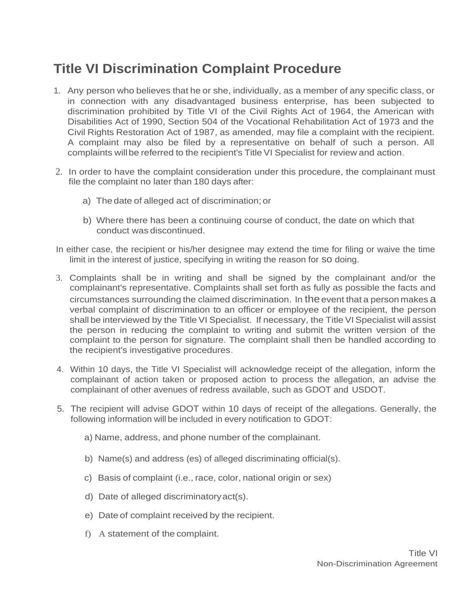## **Title VI Discrimination Complaint Procedure**

- 1. Any person who believes that he or she, individually, as a member of any specific class, or in connection with any disadvantaged business enterprise, has been subjected to discrimination prohibited by Title VI of the Civil Rights Act of 1964, the American with Disabilities Act of 1990, Section 504 of the Vocational Rehabilitation Act of 1973 and the Civil Rights Restoration Act of 1987, as amended, may file a complaint with the recipient. A complaint may also be filed by a representative on behalf of such a person. All complaints willbe referred to the recipient's Title VI Specialist for review and action.
- 2. In order to have the complaint consideration under this procedure, the complainant must file the complaint no later than 180 days after:
	- a) The date of alleged act of discrimination; or
	- b) Where there has been a continuing course of conduct, the date on which that conduct was discontinued.
- In either case, the recipient or his/her designee may extend the time for filing or waive the time limit in the interest of justice, specifying in writing the reason for so doing.
- 3. Complaints shall be in writing and shall be signed by the complainant and/or the complainant's representative. Complaints shall set forth as fully as possible the facts and circumstances surrounding the claimed discrimination. In the event that a person makes a verbal complaint of discrimination to an officer or employee of the recipient, the person shall be interviewed by the Title VI Specialist. If necessary, the Title VI Specialist will assist the person in reducing the complaint to writing and submit the written version of the complaint to the person for signature. The complaint shall then be handled according to the recipient's investigative procedures.
- 4. Within 10 days, the Title VI Specialist will acknowledge receipt of the allegation, inform the complainant of action taken or proposed action to process the allegation, an advise the complainant of other avenues of redress available, such as GDOT and USDOT.
- 5. The recipient will advise GDOT within 10 days of receipt of the allegations. Generally, the following information will be included in every notification to GDOT:
	- a) Name, address, and phone number of the complainant.
	- b) Name(s) and address (es) of alleged discriminating official(s).
	- c) Basis of complaint (i.e., race, color, national origin or sex)
	- d) Date of alleged discriminatoryact(s).
	- e) Date of complaint received by the recipient.
	- f) A statement of the complaint.